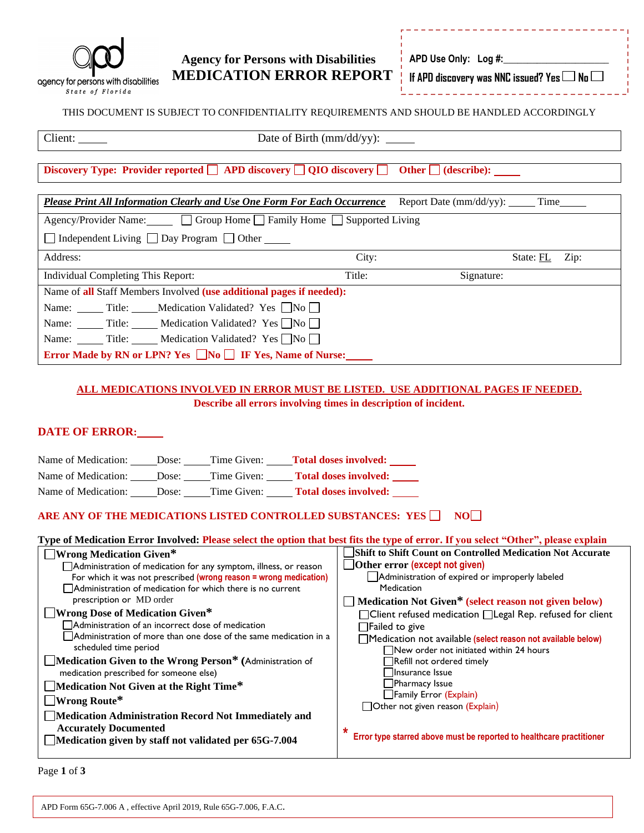

### **Agency for Persons with Disabilities MEDICATION ERROR REPORT**

**APD Use Only: Log #:** 

**If APD discovery was NNC issued? Yes No**

#### THIS DOCUMENT IS SUBJECT TO CONFIDENTIALITY REQUIREMENTS AND SHOULD BE HANDLED ACCORDINGLY

|                                                                                                                       | Date of Birth $\text{(mm/dd/yy)}$ : |            |           |      |
|-----------------------------------------------------------------------------------------------------------------------|-------------------------------------|------------|-----------|------|
| Discovery Type: Provider reported $\Box$ APD discovery $\Box$ QIO discovery $\Box$ Other $\Box$ (describe): ____      |                                     |            |           |      |
| <b>Please Print All Information Clearly and Use One Form For Each Occurrence</b> Report Date (mm/dd/yy): ______ Time_ |                                     |            |           |      |
| Agency/Provider Name: Group Home Family Home Supported Living                                                         |                                     |            |           |      |
| □ Independent Living □ Day Program □ Other <u>■</u>                                                                   |                                     |            |           |      |
| Address:                                                                                                              | City:                               |            | State: FL | Zip: |
| Individual Completing This Report:                                                                                    | Title:                              | Signature: |           |      |
| Name of all Staff Members Involved (use additional pages if needed):                                                  |                                     |            |           |      |
| Name: _______ Title: ______ Medication Validated? Yes No                                                              |                                     |            |           |      |
| Name: Title: Medication Validated? Yes $\neg$ No $\neg$                                                               |                                     |            |           |      |
| Name: Title: Medication Validated? Yes ■No                                                                            |                                     |            |           |      |

**Error Made by RN or LPN? Yes**  $\Box$  **No**  $\Box$  **IF Yes, Name of Nurse:** 

#### **ALL MEDICATIONS INVOLVED IN ERROR MUST BE LISTED. USE ADDITIONAL PAGES IF NEEDED. Describe all errors involving times in description of incident.**

#### **DATE OF ERROR:**

| Name of Medication: _____Dose: _____Time Given: _____Total doses involved: _____                                                                                                                                    |                                                                       |  |  |
|---------------------------------------------------------------------------------------------------------------------------------------------------------------------------------------------------------------------|-----------------------------------------------------------------------|--|--|
| Name of Medication: _____Dose: _____Time Given: ______Total doses involved: _____                                                                                                                                   |                                                                       |  |  |
| Name of Medication: Dose: Time Given: Total doses involved:                                                                                                                                                         |                                                                       |  |  |
| ARE ANY OF THE MEDICATIONS LISTED CONTROLLED SUBSTANCES: YES $\Box$<br>NOL 1<br>Type of Medication Error Involved: Please select the option that best fits the type of error. If you select "Other", please explain |                                                                       |  |  |
| $\Box$ Wrong Medication Given*                                                                                                                                                                                      | Shift to Shift Count on Controlled Medication Not Accurate            |  |  |
| Administration of medication for any symptom, illness, or reason                                                                                                                                                    | $\Box$ Other error (except not given)                                 |  |  |
| For which it was not prescribed (wrong reason = wrong medication)                                                                                                                                                   | Administration of expired or improperly labeled                       |  |  |
| $\Box$ Administration of medication for which there is no current                                                                                                                                                   | Medication                                                            |  |  |
| prescription or MD order                                                                                                                                                                                            | Medication Not Given* (select reason not given below)                 |  |  |
| □ Wrong Dose of Medication Given*                                                                                                                                                                                   | $\Box$ Client refused medication $\Box$ Legal Rep. refused for client |  |  |
| $\Box$ Administration of an incorrect dose of medication                                                                                                                                                            | $\Box$ Failed to give                                                 |  |  |
| Administration of more than one dose of the same medication in a                                                                                                                                                    | Medication not available (select reason not available below)          |  |  |
| scheduled time period                                                                                                                                                                                               | New order not initiated within 24 hours                               |  |  |
| Medication Given to the Wrong Person* (Administration of                                                                                                                                                            | Refill not ordered timely                                             |  |  |
| medication prescribed for someone else)                                                                                                                                                                             | Insurance Issue                                                       |  |  |
| $\Box$ Medication Not Given at the Right Time*                                                                                                                                                                      | $\Box$ Pharmacy Issue                                                 |  |  |
| $\Box$ Wrong Route*                                                                                                                                                                                                 | Family Error (Explain)                                                |  |  |
| Medication Administration Record Not Immediately and                                                                                                                                                                | □ Other not given reason (Explain)                                    |  |  |
| <b>Accurately Documented</b>                                                                                                                                                                                        |                                                                       |  |  |
| Medication given by staff not validated per 65G-7.004                                                                                                                                                               | Error type starred above must be reported to healthcare practitioner  |  |  |
|                                                                                                                                                                                                                     |                                                                       |  |  |

Page **1** of **3**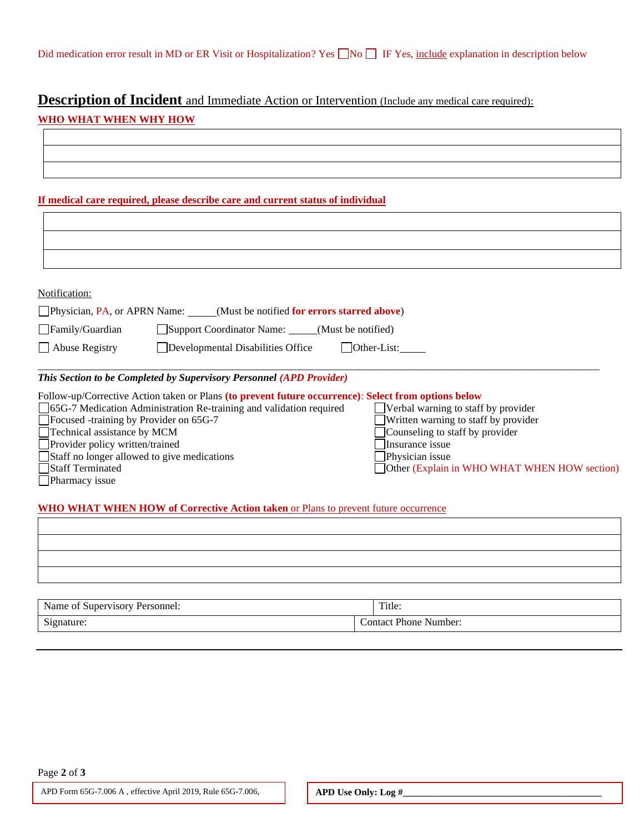# **Description of Incident** and Immediate Action or Intervention (Include any medical care required):

#### **WHO WHAT WHEN WHY HOW**

#### **If medical care required, please describe care and current status of individual**

| Notification: |
|---------------|
|---------------|

| Physician, PA, or APRN Name: _ | (Must be notified for errors starred above)                     |
|--------------------------------|-----------------------------------------------------------------|
| $\Box$ Family/Guardian         | Support Coordinator Name: _____(Must be notified)               |
| $\Box$ Abuse Registry          | Developmental Disabilities Office<br>$\sqrt{\text{Other-List}}$ |
|                                |                                                                 |

#### *This Section to be Completed by Supervisory Personnel (APD Provider)*

| Follow-up/Corrective Action taken or Plans (to prevent future occurrence): Select from options below |                                              |
|------------------------------------------------------------------------------------------------------|----------------------------------------------|
| □ 65G-7 Medication Administration Re-training and validation required                                | $\Box$ Verbal warning to staff by provider   |
| Focused -training by Provider on 65G-7                                                               | $\Box$ Written warning to staff by provider  |
| $\Box$ Technical assistance by MCM                                                                   | $\Box$ Counseling to staff by provider       |
| $\Box$ Provider policy written/trained                                                               | Insurance issue                              |
| Staff no longer allowed to give medications                                                          | Physician issue                              |
| Staff Terminated                                                                                     | Other (Explain in WHO WHAT WHEN HOW section) |
| Pharmacy issue                                                                                       |                                              |

#### **WHO WHAT WHEN HOW of Corrective Action taken** or Plans to prevent future occurrence

| Supervisory<br>Name of<br>Personnel: | Title:        |
|--------------------------------------|---------------|
| $\sim$                               | Contact Phone |
| Signature:                           | Number:       |

Page **2** of **3**

F.A.C.

APD Form 65G-7.006 A , effective April 2019, Rule 65G-7.006, **APD Use Only: Log**  $\sharp$